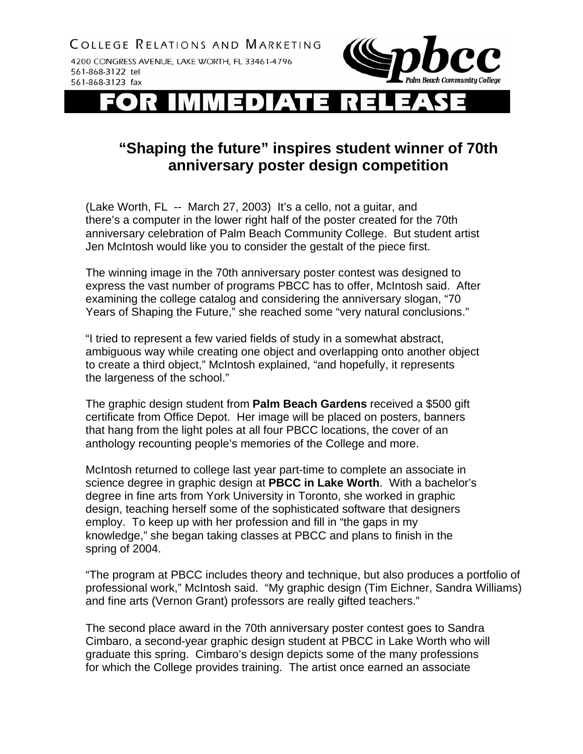**COLLEGE RELATIONS AND MARKETING** 

4200 CONGRESS AVENUE, LAKE WORTH, FL 33461-4796 561-868-3122 tel 561-868-3123 fax



 $\exists$ D

## **"Shaping the future" inspires student winner of 70th anniversary poster design competition**

(Lake Worth, FL -- March 27, 2003) It's a cello, not a guitar, and there's a computer in the lower right half of the poster created for the 70th anniversary celebration of Palm Beach Community College. But student artist Jen McIntosh would like you to consider the gestalt of the piece first.

The winning image in the 70th anniversary poster contest was designed to express the vast number of programs PBCC has to offer, McIntosh said. After examining the college catalog and considering the anniversary slogan, "70 Years of Shaping the Future," she reached some "very natural conclusions."

"I tried to represent a few varied fields of study in a somewhat abstract, ambiguous way while creating one object and overlapping onto another object to create a third object," McIntosh explained, "and hopefully, it represents the largeness of the school."

The graphic design student from **Palm Beach Gardens** received a \$500 gift certificate from Office Depot. Her image will be placed on posters, banners that hang from the light poles at all four PBCC locations, the cover of an anthology recounting people's memories of the College and more.

McIntosh returned to college last year part-time to complete an associate in science degree in graphic design at **PBCC in Lake Worth**. With a bachelor's degree in fine arts from York University in Toronto, she worked in graphic design, teaching herself some of the sophisticated software that designers employ. To keep up with her profession and fill in "the gaps in my knowledge," she began taking classes at PBCC and plans to finish in the spring of 2004.

"The program at PBCC includes theory and technique, but also produces a portfolio of professional work," McIntosh said. "My graphic design (Tim Eichner, Sandra Williams) and fine arts (Vernon Grant) professors are really gifted teachers."

The second place award in the 70th anniversary poster contest goes to Sandra Cimbaro, a second-year graphic design student at PBCC in Lake Worth who will graduate this spring. Cimbaro's design depicts some of the many professions for which the College provides training. The artist once earned an associate